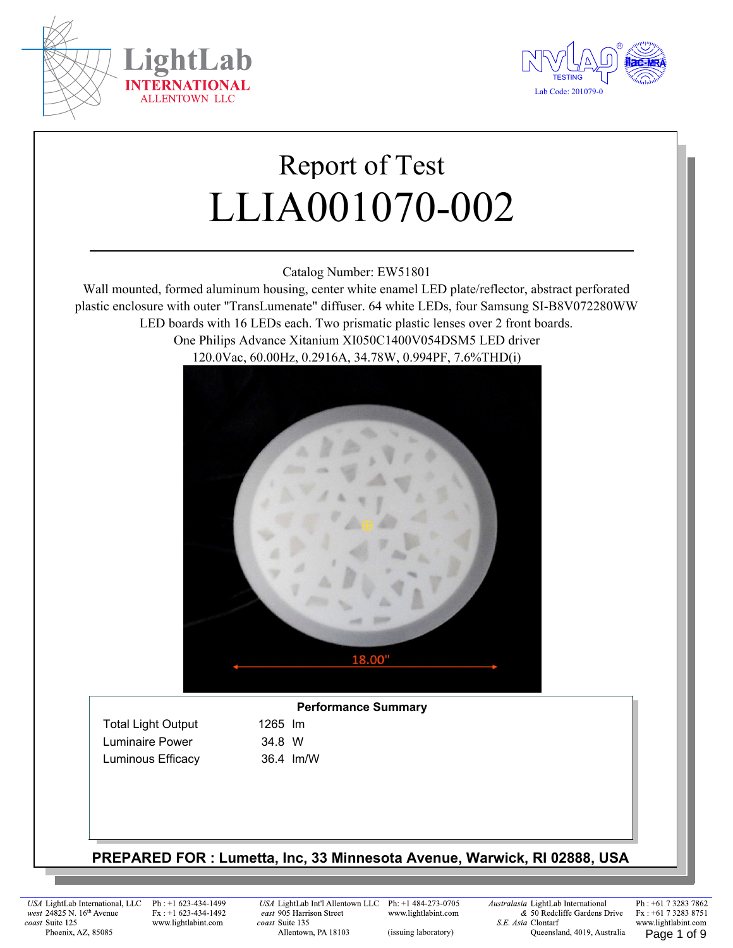



# Report of Test LLIA001070-002

Catalog Number: EW51801

Wall mounted, formed aluminum housing, center white enamel LED plate/reflector, abstract perforated plastic enclosure with outer "TransLumenate" diffuser. 64 white LEDs, four Samsung SI-B8V072280WW LED boards with 16 LEDs each. Two prismatic plastic lenses over 2 front boards. One Philips Advance Xitanium XI050C1400V054DSM5 LED driver 120.0Vac, 60.00Hz, 0.2916A, 34.78W, 0.994PF, 7.6%THD(i)



#### **Performance Summary**

Total Light Output 1265 Im Luminaire Power 34.8 W Luminous Efficacy 36.4 lm/W

#### **PREPARED FOR : Lumetta, Inc, 33 Minnesota Avenue, Warwick, RI 02888, USA**

USA LightLab International, LLC west 24825 N. 16<sup>th</sup> Avenue coast Suite 125 Phoenix, AZ, 85085

Ph: +1 623-434-1499  $Fx : +1 623-434-1492$ www.lightlabint.com

USA LightLab Int'l Allentown LLC east 905 Harrison Street coast Suite 135 Allentown, PA 18103

Ph: +1 484-273-0705 www.lightlabint.com

Australasia LightLab International & 50 Redcliffe Gardens Drive S.E. Asia Clontarf (issuing laboratory) Cueensland, 4019, Australia Page 1 of 9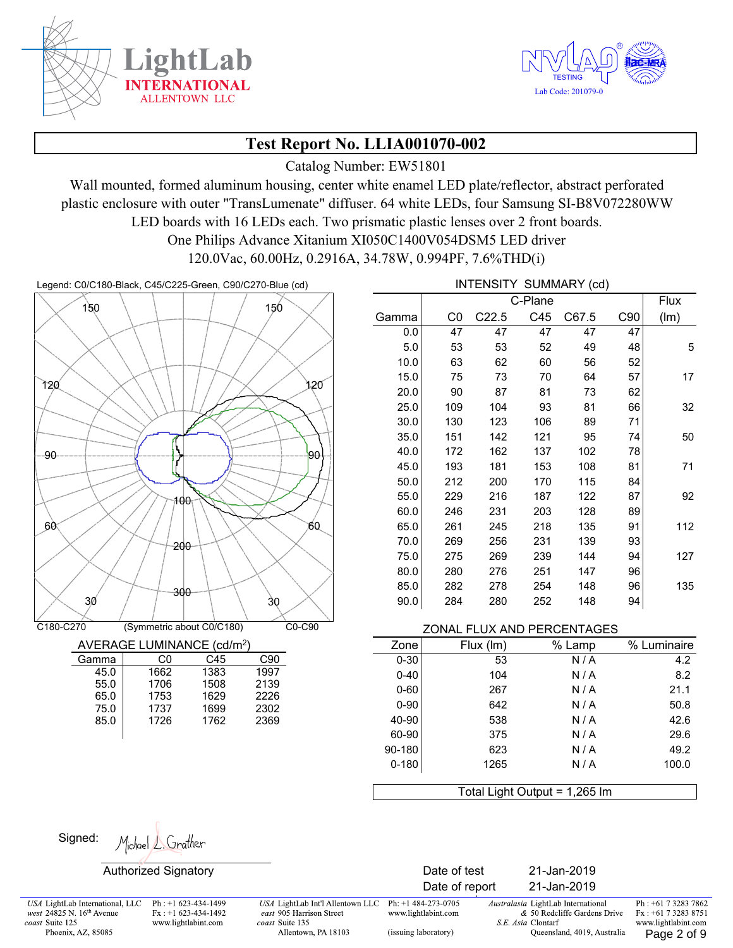



Catalog Number: EW51801

Wall mounted, formed aluminum housing, center white enamel LED plate/reflector, abstract perforated plastic enclosure with outer "TransLumenate" diffuser. 64 white LEDs, four Samsung SI-B8V072280WW LED boards with 16 LEDs each. Two prismatic plastic lenses over 2 front boards. One Philips Advance Xitanium XI050C1400V054DSM5 LED driver

120.0Vac, 60.00Hz, 0.2916A, 34.78W, 0.994PF, 7.6%THD(i)

Legend: C0/C180-Black, C45/C225-Green, C90/C270-Blue (cd) **INTENSITY SUMMARY** (cd)



| AVERAGE LUMINANCE (cd/m <sup>2</sup> ) |  |  |
|----------------------------------------|--|--|
|                                        |  |  |

| Gamma | C٥   | C45  | C90  |
|-------|------|------|------|
| 45.0  | 1662 | 1383 | 1997 |
| 55.0  | 1706 | 1508 | 2139 |
| 65.0  | 1753 | 1629 | 2226 |
| 75.0  | 1737 | 1699 | 2302 |
| 85.0  | 1726 | 1762 | 2369 |
|       |      |      |      |
|       |      |      |      |

|       |     | <u>IN ENJIT</u>   |         | SUIVIIVIART (CU) |     |      |
|-------|-----|-------------------|---------|------------------|-----|------|
|       |     |                   | C-Plane |                  |     | Flux |
| Gamma | C0  | C <sub>22.5</sub> | C45     | C67.5            | C90 | (lm) |
| 0.0   | 47  | 47                | 47      | 47               | 47  |      |
| 5.0   | 53  | 53                | 52      | 49               | 48  | 5    |
| 10.0  | 63  | 62                | 60      | 56               | 52  |      |
| 15.0  | 75  | 73                | 70      | 64               | 57  | 17   |
| 20.0  | 90  | 87                | 81      | 73               | 62  |      |
| 25.0  | 109 | 104               | 93      | 81               | 66  | 32   |
| 30.0  | 130 | 123               | 106     | 89               | 71  |      |
| 35.0  | 151 | 142               | 121     | 95               | 74  | 50   |
| 40.0  | 172 | 162               | 137     | 102              | 78  |      |
| 45.0  | 193 | 181               | 153     | 108              | 81  | 71   |
| 50.0  | 212 | 200               | 170     | 115              | 84  |      |
| 55.0  | 229 | 216               | 187     | 122              | 87  | 92   |
| 60.0  | 246 | 231               | 203     | 128              | 89  |      |
| 65.0  | 261 | 245               | 218     | 135              | 91  | 112  |
| 70.0  | 269 | 256               | 231     | 139              | 93  |      |
| 75.0  | 275 | 269               | 239     | 144              | 94  | 127  |
| 80.0  | 280 | 276               | 251     | 147              | 96  |      |
| 85.0  | 282 | 278               | 254     | 148              | 96  | 135  |
| 90.0  | 284 | 280               | 252     | 148              | 94  |      |

| Zone      | Flux (Im) | % Lamp | % Luminaire |
|-----------|-----------|--------|-------------|
| $0 - 30$  | 53        | N/A    | 4.2         |
| $0 - 40$  | 104       | N/A    | 8.2         |
| $0 - 60$  | 267       | N/A    | 21.1        |
| $0 - 90$  | 642       | N/A    | 50.8        |
| 40-90     | 538       | N/A    | 42.6        |
| 60-90     | 375       | N/A    | 29.6        |
| 90-180    | 623       | N/A    | 49.2        |
| $0 - 180$ | 1265      | N/A    | 100.0       |
|           |           |        |             |

Total Light Output = 1,265 lm

Michael L. Grather Signed:

Authorized Signatory Date of test 21-Jan-2019

USA LightLab International, LLC west 24825 N. 16<sup>th</sup> Avenue coast Suite 125 Phoenix, AZ, 85085

Ph: +1 623-434-1499  $Fx : +1 623-434-1492$ www.lightlabint.com

USA LightLab Int'l Allentown LLC east 905 Harrison Street coast Suite 135 Allentown, PA 18103

Ph: +1 484-273-0705 www.lightlabint.com

(issuing laboratory)

Date of report 21-Jan-2019 Australasia LightLab International

S.E. Asia Clontarf

& 50 Redcliffe Gardens Drive

Queensland, 4019, Australia

Ph: +61 7 3283 7862 Fx: +61 7 3283 8751 www.lightlabint.com Page 2 of 9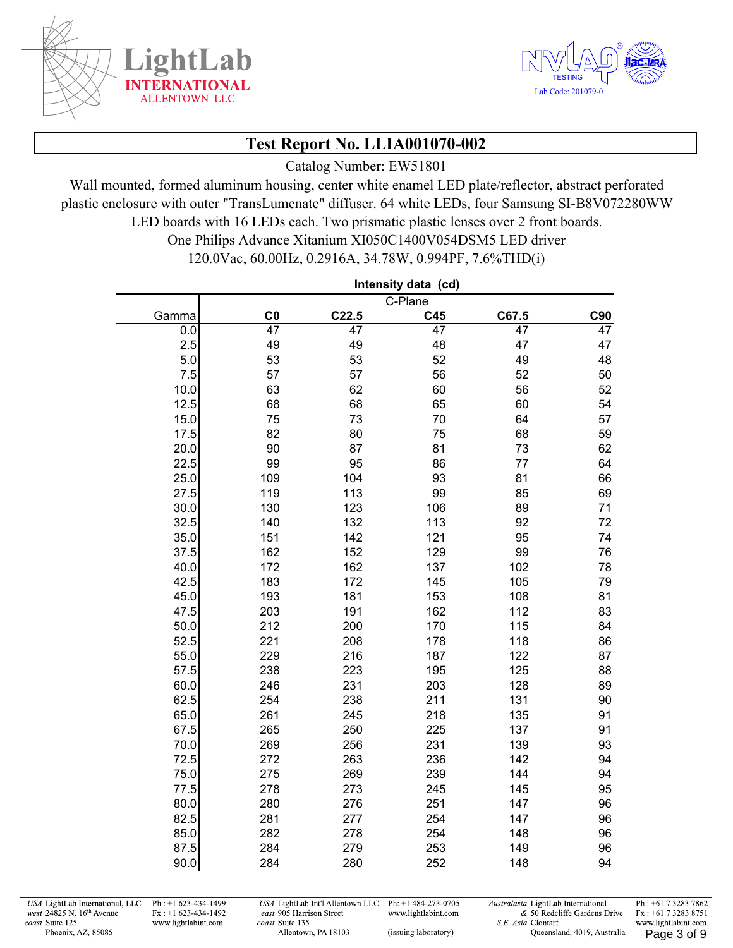

í.



# **Test Report No. LLIA001070-002**

Catalog Number: EW51801

Wall mounted, formed aluminum housing, center white enamel LED plate/reflector, abstract perforated plastic enclosure with outer "TransLumenate" diffuser. 64 white LEDs, four Samsung SI-B8V072280WW LED boards with 16 LEDs each. Two prismatic plastic lenses over 2 front boards.

> One Philips Advance Xitanium XI050C1400V054DSM5 LED driver 120.0Vac, 60.00Hz, 0.2916A, 34.78W, 0.994PF, 7.6%THD(i)

|       |                 |                   | Intensity data (cd) |       |                 |
|-------|-----------------|-------------------|---------------------|-------|-----------------|
|       |                 |                   | C-Plane             |       |                 |
| Gamma | C <sub>0</sub>  | C <sub>22.5</sub> | C45                 | C67.5 | C90             |
| 0.0   | $\overline{47}$ | $\overline{47}$   | 47                  | 47    | $\overline{47}$ |
| 2.5   | 49              | 49                | 48                  | 47    | 47              |
| 5.0   | 53              | 53                | 52                  | 49    | 48              |
| 7.5   | 57              | 57                | 56                  | 52    | 50              |
| 10.0  | 63              | 62                | 60                  | 56    | 52              |
| 12.5  | 68              | 68                | 65                  | 60    | 54              |
| 15.0  | 75              | 73                | 70                  | 64    | 57              |
| 17.5  | 82              | 80                | 75                  | 68    | 59              |
| 20.0  | 90              | 87                | 81                  | 73    | 62              |
| 22.5  | 99              | 95                | 86                  | 77    | 64              |
| 25.0  | 109             | 104               | 93                  | 81    | 66              |
| 27.5  | 119             | 113               | 99                  | 85    | 69              |
| 30.0  | 130             | 123               | 106                 | 89    | 71              |
| 32.5  | 140             | 132               | 113                 | 92    | 72              |
| 35.0  | 151             | 142               | 121                 | 95    | 74              |
| 37.5  | 162             | 152               | 129                 | 99    | 76              |
| 40.0  | 172             | 162               | 137                 | 102   | 78              |
| 42.5  | 183             | 172               | 145                 | 105   | 79              |
| 45.0  | 193             | 181               | 153                 | 108   | 81              |
| 47.5  | 203             | 191               | 162                 | 112   | 83              |
| 50.0  | 212             | 200               | 170                 | 115   | 84              |
| 52.5  | 221             | 208               | 178                 | 118   | 86              |
| 55.0  | 229             | 216               | 187                 | 122   | 87              |
| 57.5  | 238             | 223               | 195                 | 125   | 88              |
| 60.0  | 246             | 231               | 203                 | 128   | 89              |
| 62.5  | 254             | 238               | 211                 | 131   | 90              |
| 65.0  | 261             | 245               | 218                 | 135   | 91              |
| 67.5  | 265             | 250               | 225                 | 137   | 91              |
| 70.0  | 269             | 256               | 231                 | 139   | 93              |
| 72.5  | 272             | 263               | 236                 | 142   | 94              |
| 75.0  | 275             | 269               | 239                 | 144   | 94              |
| 77.5  | 278             | 273               | 245                 | 145   | 95              |
| 80.0  | 280             | 276               | 251                 | 147   | 96              |
| 82.5  | 281             | 277               | 254                 | 147   | 96              |
| 85.0  | 282             | 278               | 254                 | 148   | 96              |
| 87.5  | 284             | 279               | 253                 | 149   | 96              |
| 90.0  | 284             | 280               | 252                 | 148   | 94              |

USA LightLab International, LLC west 24825 N. 16th Avenue coast Suite 125 Phoenix, AZ, 85085

Ph: +1 623-434-1499  $Fx : +1 623-434-1492$ www.lightlabint.com

USA LightLab Int'l Allentown LLC Ph: +1 484-273-0705 east 905 Harrison Street www.lightlabint.com coast Suite 135 Allentown, PA 18103

Australasia LightLab International & 50 Redcliffe Gardens Drive S.E. Asia Clontarf (issuing laboratory) Cueensland, 4019, Australia Page 3 of 9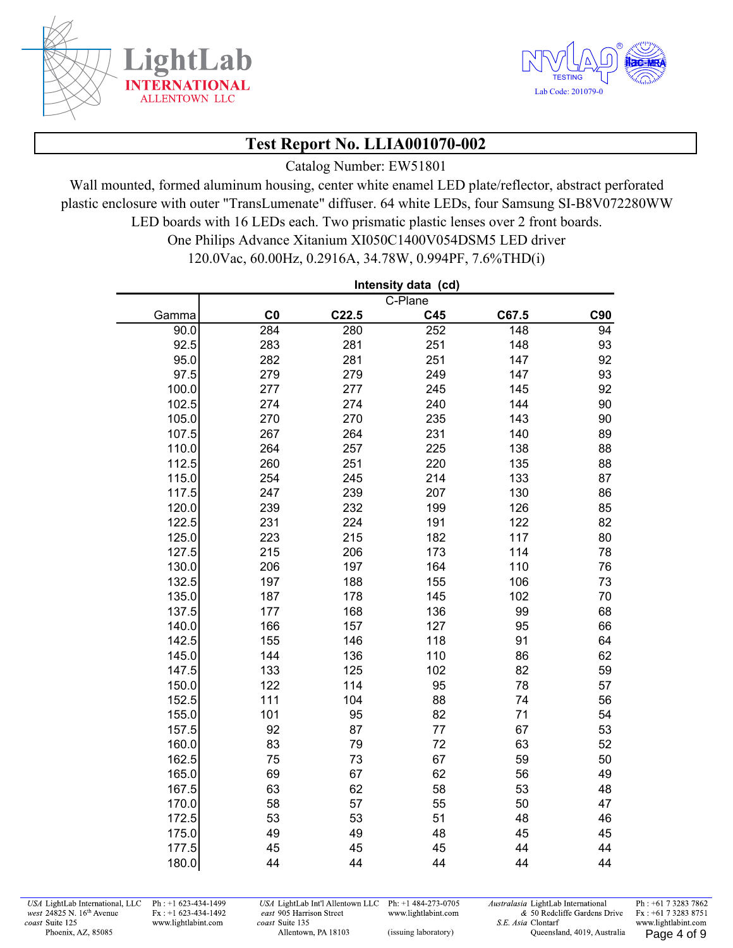



Catalog Number: EW51801

Wall mounted, formed aluminum housing, center white enamel LED plate/reflector, abstract perforated plastic enclosure with outer "TransLumenate" diffuser. 64 white LEDs, four Samsung SI-B8V072280WW LED boards with 16 LEDs each. Two prismatic plastic lenses over 2 front boards.

> One Philips Advance Xitanium XI050C1400V054DSM5 LED driver 120.0Vac, 60.00Hz, 0.2916A, 34.78W, 0.994PF, 7.6%THD(i)

|       |                |                   | Intensity data (cd) |                  |                 |
|-------|----------------|-------------------|---------------------|------------------|-----------------|
|       |                |                   | C-Plane             |                  |                 |
| Gamma | C <sub>0</sub> | C <sub>22.5</sub> | C45                 | C67.5            | C90             |
| 90.0  | 284            | $\frac{1}{280}$   | 252                 | $\overline{148}$ | $\overline{94}$ |
| 92.5  | 283            | 281               | 251                 | 148              | 93              |
| 95.0  | 282            | 281               | 251                 | 147              | 92              |
| 97.5  | 279            | 279               | 249                 | 147              | 93              |
| 100.0 | 277            | 277               | 245                 | 145              | 92              |
| 102.5 | 274            | 274               | 240                 | 144              | 90              |
| 105.0 | 270            | 270               | 235                 | 143              | 90              |
| 107.5 | 267            | 264               | 231                 | 140              | 89              |
| 110.0 | 264            | 257               | 225                 | 138              | 88              |
| 112.5 | 260            | 251               | 220                 | 135              | 88              |
| 115.0 | 254            | 245               | 214                 | 133              | 87              |
| 117.5 | 247            | 239               | 207                 | 130              | 86              |
| 120.0 | 239            | 232               | 199                 | 126              | 85              |
| 122.5 | 231            | 224               | 191                 | 122              | 82              |
| 125.0 | 223            | 215               | 182                 | 117              | 80              |
| 127.5 | 215            | 206               | 173                 | 114              | 78              |
| 130.0 | 206            | 197               | 164                 | 110              | 76              |
| 132.5 | 197            | 188               | 155                 | 106              | 73              |
| 135.0 | 187            | 178               | 145                 | 102              | 70              |
| 137.5 | 177            | 168               | 136                 | 99               | 68              |
| 140.0 | 166            | 157               | 127                 | 95               | 66              |
| 142.5 | 155            | 146               | 118                 | 91               | 64              |
| 145.0 | 144            | 136               | 110                 | 86               | 62              |
| 147.5 | 133            | 125               | 102                 | 82               | 59              |
| 150.0 | 122            | 114               | 95                  | 78               | 57              |
| 152.5 | 111            | 104               | 88                  | 74               | 56              |
| 155.0 | 101            | 95                | 82                  | 71               | 54              |
| 157.5 | 92             | 87                | 77                  | 67               | 53              |
| 160.0 | 83             | 79                | 72                  | 63               | 52              |
| 162.5 | 75             | 73                | 67                  | 59               | 50              |
| 165.0 | 69             | 67                | 62                  | 56               | 49              |
| 167.5 | 63             | 62                | 58                  | 53               | 48              |
| 170.0 | 58             | 57                | 55                  | 50               | 47              |
| 172.5 | 53             | 53                | 51                  | 48               | 46              |
| 175.0 | 49             | 49                | 48                  | 45               | 45              |
| 177.5 | 45             | 45                | 45                  | 44               | 44              |
| 180.0 | 44             | 44                | 44                  | 44               | 44              |

USA LightLab International, LLC west 24825 N. 16th Avenue coast Suite 125 Phoenix, AZ, 85085

Ph: +1 623-434-1499  $Fx : +1 623-434-1492$ www.lightlabint.com

USA LightLab Int'l Allentown LLC Ph: +1 484-273-0705 east 905 Harrison Street www.lightlabint.com coast Suite 135 Allentown, PA 18103

Australasia LightLab International & 50 Redcliffe Gardens Drive S.E. Asia Clontarf (issuing laboratory) Cueensland, 4019, Australia Page 4 of 9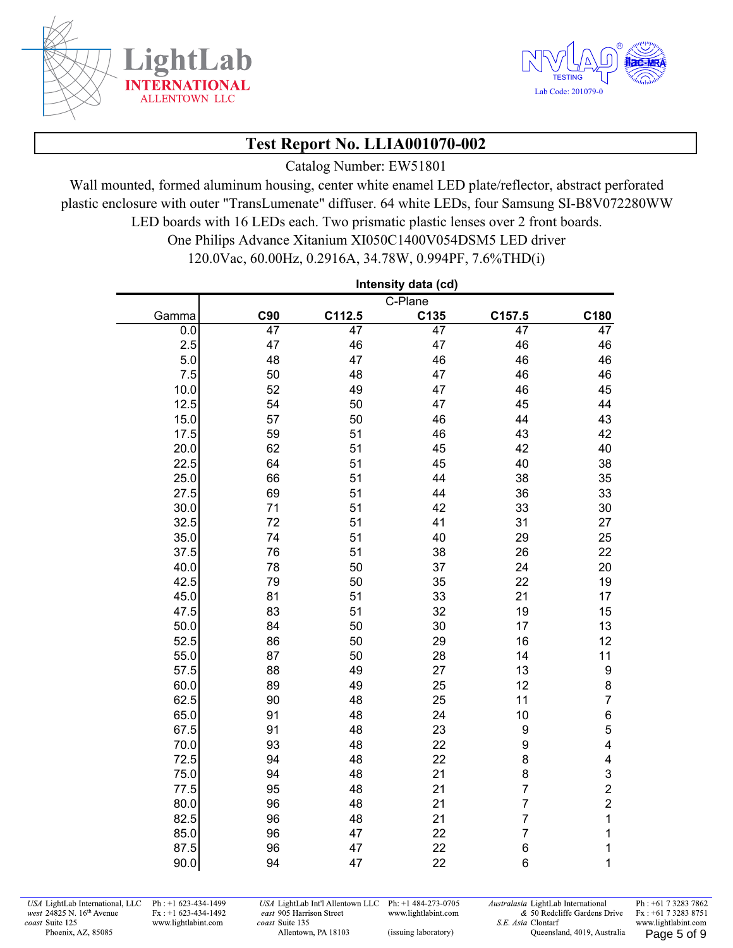



Catalog Number: EW51801

Wall mounted, formed aluminum housing, center white enamel LED plate/reflector, abstract perforated plastic enclosure with outer "TransLumenate" diffuser. 64 white LEDs, four Samsung SI-B8V072280WW LED boards with 16 LEDs each. Two prismatic plastic lenses over 2 front boards.

> One Philips Advance Xitanium XI050C1400V054DSM5 LED driver 120.0Vac, 60.00Hz, 0.2916A, 34.78W, 0.994PF, 7.6%THD(i)

|       |     |        | Intensity data (cd) |                |                         |
|-------|-----|--------|---------------------|----------------|-------------------------|
|       |     |        | C-Plane             |                |                         |
| Gamma | C90 | C112.5 | C135                | C157.5         | C180                    |
| 0.0   | 47  | 47     | 47                  | 47             | 47                      |
| 2.5   | 47  | 46     | 47                  | 46             | 46                      |
| 5.0   | 48  | 47     | 46                  | 46             | 46                      |
| 7.5   | 50  | 48     | 47                  | 46             | 46                      |
| 10.0  | 52  | 49     | 47                  | 46             | 45                      |
| 12.5  | 54  | 50     | 47                  | 45             | 44                      |
| 15.0  | 57  | 50     | 46                  | 44             | 43                      |
| 17.5  | 59  | 51     | 46                  | 43             | 42                      |
| 20.0  | 62  | 51     | 45                  | 42             | 40                      |
| 22.5  | 64  | 51     | 45                  | 40             | 38                      |
| 25.0  | 66  | 51     | 44                  | 38             | 35                      |
| 27.5  | 69  | 51     | 44                  | 36             | 33                      |
| 30.0  | 71  | 51     | 42                  | 33             | 30                      |
| 32.5  | 72  | 51     | 41                  | 31             | 27                      |
| 35.0  | 74  | 51     | 40                  | 29             | 25                      |
| 37.5  | 76  | 51     | 38                  | 26             | 22                      |
| 40.0  | 78  | 50     | 37                  | 24             | 20                      |
| 42.5  | 79  | 50     | 35                  | 22             | 19                      |
| 45.0  | 81  | 51     | 33                  | 21             | 17                      |
| 47.5  | 83  | 51     | 32                  | 19             | 15                      |
| 50.0  | 84  | 50     | 30                  | 17             | 13                      |
| 52.5  | 86  | 50     | 29                  | 16             | 12                      |
| 55.0  | 87  | 50     | 28                  | 14             | 11                      |
| 57.5  | 88  | 49     | 27                  | 13             | $\boldsymbol{9}$        |
| 60.0  | 89  | 49     | 25                  | 12             | 8                       |
| 62.5  | 90  | 48     | 25                  | 11             | $\boldsymbol{7}$        |
| 65.0  | 91  | 48     | 24                  | 10             | 6                       |
| 67.5  | 91  | 48     | 23                  | 9              | 5                       |
| 70.0  | 93  | 48     | 22                  | 9              | $\overline{\mathbf{4}}$ |
| 72.5  | 94  | 48     | 22                  | 8              | 4                       |
| 75.0  | 94  | 48     | 21                  | 8              | 3                       |
| 77.5  | 95  | 48     | 21                  | $\overline{7}$ | $\overline{c}$          |
| 80.0  | 96  | 48     | 21                  | $\overline{7}$ | $\overline{2}$          |
| 82.5  | 96  | 48     | 21                  | $\overline{7}$ | $\mathbf{1}$            |
| 85.0  | 96  | 47     | 22                  | $\overline{7}$ | $\mathbf 1$             |
| 87.5  | 96  | 47     | 22                  | 6              | $\mathbf 1$             |
| 90.0  | 94  | 47     | 22                  | 6              | $\mathbf 1$             |

USA LightLab International, LLC west 24825 N. 16th Avenue coast Suite 125 Phoenix, AZ, 85085

Ph: +1 623-434-1499  $Fx : +1 623-434-1492$ www.lightlabint.com

USA LightLab Int'l Allentown LLC Ph: +1 484-273-0705 east 905 Harrison Street www.lightlabint.com coast Suite 135 Allentown, PA 18103

Australasia LightLab International & 50 Redcliffe Gardens Drive S.E. Asia Clontarf (issuing laboratory) Cueensland, 4019, Australia Page 5 of 9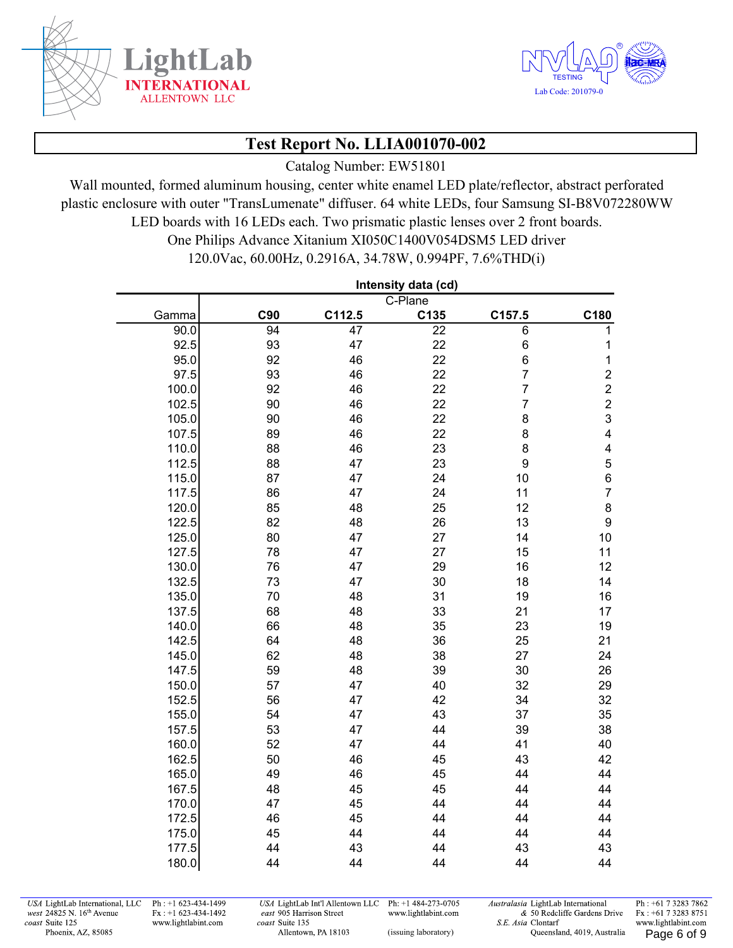

í.



# **Test Report No. LLIA001070-002**

Catalog Number: EW51801

Wall mounted, formed aluminum housing, center white enamel LED plate/reflector, abstract perforated plastic enclosure with outer "TransLumenate" diffuser. 64 white LEDs, four Samsung SI-B8V072280WW LED boards with 16 LEDs each. Two prismatic plastic lenses over 2 front boards.

> One Philips Advance Xitanium XI050C1400V054DSM5 LED driver 120.0Vac, 60.00Hz, 0.2916A, 34.78W, 0.994PF, 7.6%THD(i)

|       |                 |                 | Intensity data (cd) |                |                         |
|-------|-----------------|-----------------|---------------------|----------------|-------------------------|
|       |                 |                 | C-Plane             |                |                         |
| Gamma | C90             | C112.5          | C135                | C157.5         | C180                    |
| 90.0  | $\overline{94}$ | $\overline{47}$ | $\overline{22}$     | $\overline{6}$ | $\overline{1}$          |
| 92.5  | 93              | 47              | 22                  | 6              | 1                       |
| 95.0  | 92              | 46              | 22                  | 6              | $\mathbf 1$             |
| 97.5  | 93              | 46              | 22                  | $\overline{7}$ | $\boldsymbol{2}$        |
| 100.0 | 92              | 46              | 22                  | $\overline{7}$ | $\overline{c}$          |
| 102.5 | 90              | 46              | 22                  | $\overline{7}$ | $\overline{c}$          |
| 105.0 | 90              | 46              | 22                  | 8              | $\mathfrak{S}$          |
| 107.5 | 89              | 46              | 22                  | 8              | 4                       |
| 110.0 | 88              | 46              | 23                  | 8              | $\overline{\mathbf{4}}$ |
| 112.5 | 88              | 47              | 23                  | 9              | $\mathbf 5$             |
| 115.0 | 87              | 47              | 24                  | 10             | $\,6$                   |
| 117.5 | 86              | 47              | 24                  | 11             | $\overline{7}$          |
| 120.0 | 85              | 48              | 25                  | 12             | 8                       |
| 122.5 | 82              | 48              | 26                  | 13             | $\boldsymbol{9}$        |
| 125.0 | 80              | 47              | 27                  | 14             | 10                      |
| 127.5 | 78              | 47              | 27                  | 15             | 11                      |
| 130.0 | 76              | 47              | 29                  | 16             | 12                      |
| 132.5 | 73              | 47              | 30                  | 18             | 14                      |
| 135.0 | 70              | 48              | 31                  | 19             | 16                      |
| 137.5 | 68              | 48              | 33                  | 21             | 17                      |
| 140.0 | 66              | 48              | 35                  | 23             | 19                      |
| 142.5 | 64              | 48              | 36                  | 25             | 21                      |
| 145.0 | 62              | 48              | 38                  | 27             | 24                      |
| 147.5 | 59              | 48              | 39                  | 30             | 26                      |
| 150.0 | 57              | 47              | 40                  | 32             | 29                      |
| 152.5 | 56              | 47              | 42                  | 34             | 32                      |
| 155.0 | 54              | 47              | 43                  | 37             | 35                      |
| 157.5 | 53              | 47              | 44                  | 39             | 38                      |
| 160.0 | 52              | 47              | 44                  | 41             | 40                      |
| 162.5 | 50              | 46              | 45                  | 43             | 42                      |
| 165.0 | 49              | 46              | 45                  | 44             | 44                      |
| 167.5 | 48              | 45              | 45                  | 44             | 44                      |
| 170.0 | 47              | 45              | 44                  | 44             | 44                      |
| 172.5 | 46              | 45              | 44                  | 44             | 44                      |
| 175.0 | 45              | 44              | 44                  | 44             | 44                      |
| 177.5 | 44              | 43              | 44                  | 43             | 43                      |
| 180.0 | 44              | 44              | 44                  | 44             | 44                      |

USA LightLab International, LLC west 24825 N. 16th Avenue coast Suite 125 Phoenix, AZ, 85085

Ph: +1 623-434-1499  $Fx : +1 623-434-1492$ www.lightlabint.com

USA LightLab Int'l Allentown LLC Ph: +1 484-273-0705 east 905 Harrison Street www.lightlabint.com coast Suite 135 Allentown, PA 18103

Australasia LightLab International & 50 Redcliffe Gardens Drive S.E. Asia Clontarf (issuing laboratory) Cueensland, 4019, Australia Page 6 of 9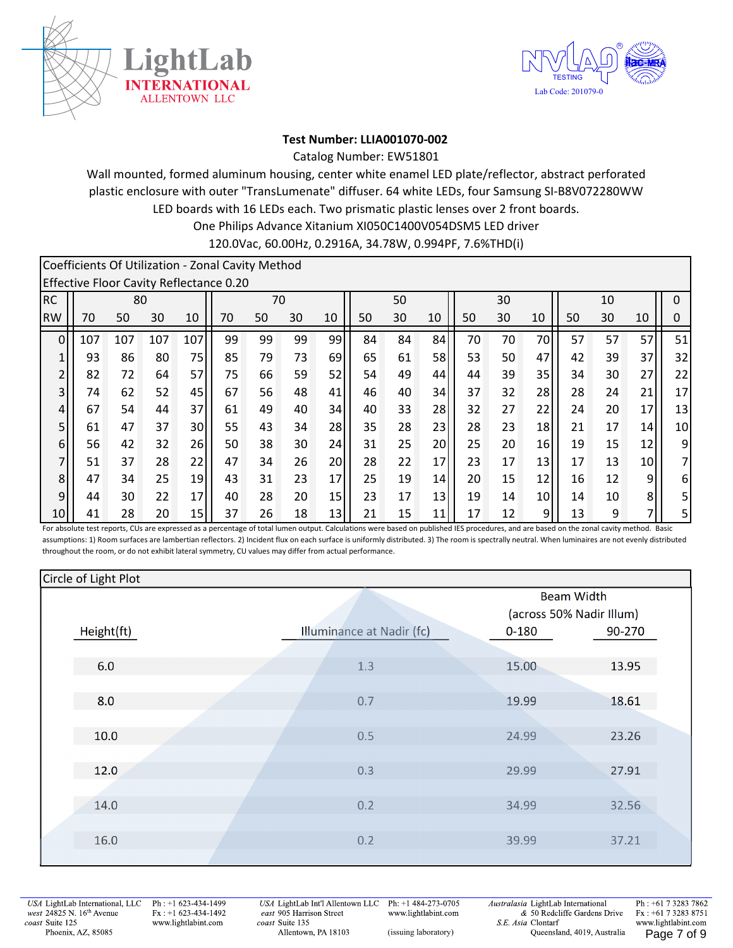



#### **Test Number: LLIA001070‐002**

Catalog Number: EW51801

One Philips Advance Xitanium XI050C1400V054DSM5 LED driver Wall mounted, formed aluminum housing, center white enamel LED plate/reflector, abstract perforated plastic enclosure with outer "TransLumenate" diffuser. 64 white LEDs, four Samsung SI‐B8V072280WW LED boards with 16 LEDs each. Two prismatic plastic lenses over 2 front boards. 120.0Vac, 60.00Hz, 0.2916A, 34.78W, 0.994PF, 7.6%THD(i)

|                |     |     |     |     | Coefficients Of Utilization - Zonal Cavity Method |    |    |    |    |    |    |    |    |                 |    |    |    |                |
|----------------|-----|-----|-----|-----|---------------------------------------------------|----|----|----|----|----|----|----|----|-----------------|----|----|----|----------------|
|                |     |     |     |     | Effective Floor Cavity Reflectance 0.20           |    |    |    |    |    |    |    |    |                 |    |    |    |                |
| <b>RC</b>      |     | 80  |     |     |                                                   | 70 |    |    |    | 50 |    |    | 30 |                 |    | 10 |    | 0              |
| <b>RW</b>      | 70  | 50  | 30  | 10  | 70                                                | 50 | 30 | 10 | 50 | 30 | 10 | 50 | 30 | 10              | 50 | 30 | 10 | 0              |
| $\overline{0}$ | 107 | 107 | 107 | 107 | 99                                                | 99 | 99 | 99 | 84 | 84 | 84 | 70 | 70 | 70              | 57 | 57 | 57 | 51             |
| 1              | 93  | 86  | 80  | 75  | 85                                                | 79 | 73 | 69 | 65 | 61 | 58 | 53 | 50 | 47              | 42 | 39 | 37 | 32             |
| $\overline{2}$ | 82  | 72  | 64  | 57  | 75                                                | 66 | 59 | 52 | 54 | 49 | 44 | 44 | 39 | 35 l            | 34 | 30 | 27 | 22             |
| $\overline{3}$ | 74  | 62  | 52  | 45  | 67                                                | 56 | 48 | 41 | 46 | 40 | 34 | 37 | 32 | 28              | 28 | 24 | 21 | 17             |
| 4              | 67  | 54  | 44  | 37  | 61                                                | 49 | 40 | 34 | 40 | 33 | 28 | 32 | 27 | 22              | 24 | 20 | 17 | 13             |
| 5              | 61  | 47  | 37  | 30  | 55                                                | 43 | 34 | 28 | 35 | 28 | 23 | 28 | 23 | 18              | 21 | 17 | 14 | 10             |
| 6              | 56  | 42  | 32  | 26  | 50                                                | 38 | 30 | 24 | 31 | 25 | 20 | 25 | 20 | 16              | 19 | 15 | 12 | 9              |
| $\overline{7}$ | 51  | 37  | 28  | 22  | 47                                                | 34 | 26 | 20 | 28 | 22 | 17 | 23 | 17 | 13              | 17 | 13 | 10 | $\overline{7}$ |
| 8              | 47  | 34  | 25  | 19  | 43                                                | 31 | 23 | 17 | 25 | 19 | 14 | 20 | 15 | 12              | 16 | 12 | 9  | 6              |
| $\overline{9}$ | 44  | 30  | 22  | 17  | 40                                                | 28 | 20 | 15 | 23 | 17 | 13 | 19 | 14 | 10 <sup>1</sup> | 14 | 10 | 8  | 5 <sup>1</sup> |
| 10             | 41  | 28  | 20  | 15  | 37                                                | 26 | 18 | 13 | 21 | 15 | 11 | 17 | 12 | 9               | 13 | 9  | 7  | 5              |

For absolute test reports, CUs are expressed as a percentage of total lumen output. Calculations were based on published IES procedures, and are based on the zonal cavity method. Basic assumptions: 1) Room surfaces are lambertian reflectors. 2) Incident flux on each surface is uniformly distributed. 3) The room is spectrally neutral. When luminaires are not evenly distributed throughout the room, or do not exhibit lateral symmetry, CU values may differ from actual performance.

| Circle of Light Plot |                           |                          |        |  |
|----------------------|---------------------------|--------------------------|--------|--|
|                      |                           | <b>Beam Width</b>        |        |  |
|                      |                           | (across 50% Nadir Illum) |        |  |
| Height(ft)           | Illuminance at Nadir (fc) | $0 - 180$                | 90-270 |  |
|                      |                           |                          |        |  |
| 6.0                  | 1.3                       | 15.00                    | 13.95  |  |
|                      |                           |                          |        |  |
| 8.0                  | 0.7                       | 19.99                    | 18.61  |  |
|                      |                           |                          |        |  |
| 10.0                 | 0.5                       | 24.99                    | 23.26  |  |
|                      |                           |                          |        |  |
| 12.0                 | 0.3                       | 29.99                    | 27.91  |  |
|                      |                           |                          |        |  |
| 14.0                 | 0.2                       | 34.99                    | 32.56  |  |
|                      |                           |                          |        |  |
| 16.0                 | 0.2                       | 39.99                    | 37.21  |  |
|                      |                           |                          |        |  |

USA LightLab International, LLC west 24825 N. 16<sup>th</sup> Avenue coast Suite 125 Phoenix, AZ, 85085

Ph: +1 623-434-1499  $Fx : +1 623-434-1492$ www.lightlabint.com

USA LightLab Int'l Allentown LLC east 905 Harrison Street coast Suite 135 Allentown, PA 18103

Ph: +1 484-273-0705 www.lightlabint.com

Australasia LightLab International & 50 Redcliffe Gardens Drive S.E. Asia Clontarf (issuing laboratory) Cueensland, 4019, Australia Page 7 of 9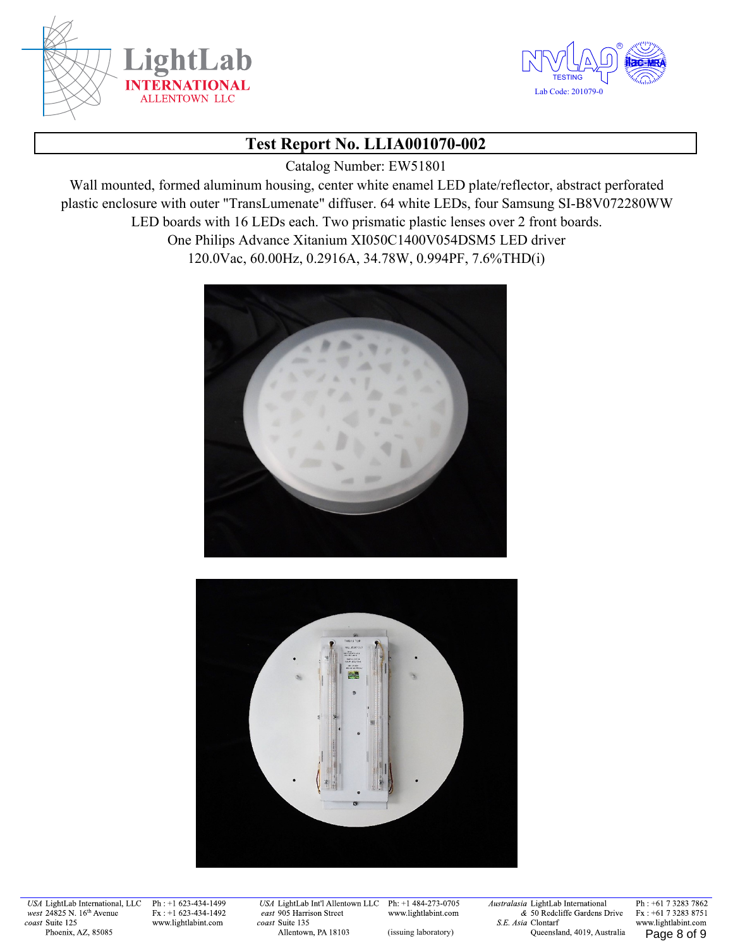



Catalog Number: EW51801

Wall mounted, formed aluminum housing, center white enamel LED plate/reflector, abstract perforated plastic enclosure with outer "TransLumenate" diffuser. 64 white LEDs, four Samsung SI-B8V072280WW LED boards with 16 LEDs each. Two prismatic plastic lenses over 2 front boards. One Philips Advance Xitanium XI050C1400V054DSM5 LED driver 120.0Vac, 60.00Hz, 0.2916A, 34.78W, 0.994PF, 7.6%THD(i)





USA LightLab International, LLC west 24825 N. 16th Avenue coast Suite 125 Phoenix, AZ, 85085

Ph: +1 623-434-1499  $Fx : +1 623-434-1492$ www.lightlabint.com

USA LightLab Int'l Allentown LLC east 905 Harrison Street coast Suite 135 Allentown, PA 18103

Ph: +1 484-273-0705 www.lightlabint.com

Australasia LightLab International & 50 Redcliffe Gardens Drive S.E. Asia Clontarf (issuing laboratory) Cueensland, 4019, Australia Page 8 of 9